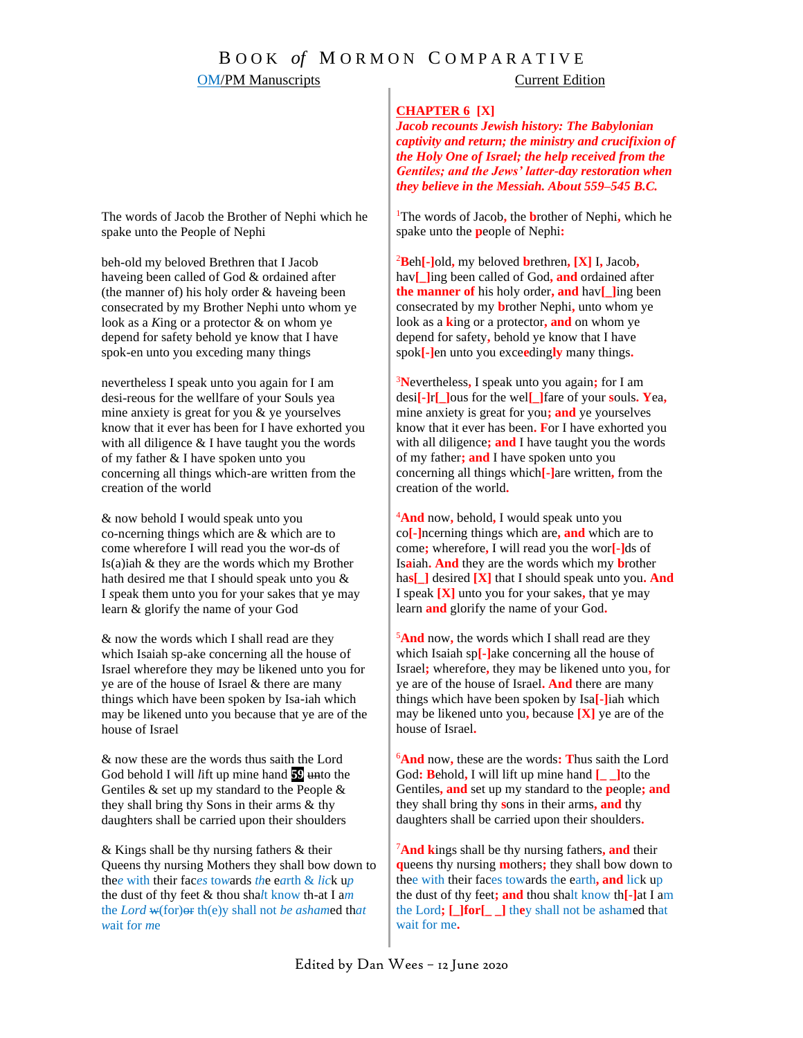### OM/PM Manuscripts Current Edition

### **CHAPTER 6 [X]**

*Jacob recounts Jewish history: The Babylonian captivity and return; the ministry and crucifixion of the Holy One of Israel; the help received from the Gentiles; and the Jews' latter-day restoration when they believe in the Messiah. About 559–545 B.C.*

<sup>1</sup>The words of Jacob**,** the **b**rother of Nephi**,** which he spake unto the **p**eople of Nephi**:**

<sup>2</sup>**B**eh**[-]**old**,** my beloved **b**rethren**, [X]** I**,** Jacob**,** hav<sub>[</sub>] ling been called of God, and ordained after **the manner of** his holy order**, and** hav**[\_]**ing been consecrated by my **b**rother Nephi**,** unto whom ye look as a **k**ing or a protector**, and** on whom ye depend for safety**,** behold ye know that I have spok**[-]**en unto you exce**e**ding**ly** many things**.**

<sup>3</sup>**N**evertheless**,** I speak unto you again**;** for I am desi**[-]**r**[\_]**ous for the wel**[\_]**fare of your **s**ouls**. Y**ea**,** mine anxiety is great for you**; and** ye yourselves know that it ever has been**. F**or I have exhorted you with all diligence**; and** I have taught you the words of my father**; and** I have spoken unto you concerning all things which**[-]**are written**,** from the creation of the world**.**

<sup>4</sup>**And** now**,** behold**,** I would speak unto you co**[-]**ncerning things which are**, and** which are to come**;** wherefore**,** I will read you the wor**[-]**ds of Is**a**iah**. And** they are the words which my **b**rother ha**s[\_]** desired **[X]** that I should speak unto you**. And** I speak **[X]** unto you for your sakes**,** that ye may learn **and** glorify the name of your God**.**

<sup>5</sup>**And** now**,** the words which I shall read are they which Isaiah sp**[-]**ake concerning all the house of Israel**;** wherefore**,** they may be likened unto you**,** for ye are of the house of Israel**. And** there are many things which have been spoken by Isa**[-]**iah which may be likened unto you**,** because **[X]** ye are of the house of Israel**.** 

<sup>6</sup>**And** now**,** these are the words**: T**hus saith the Lord God**: B**ehold**,** I will lift up mine hand **[\_ \_]**to the Gentiles**, and** set up my standard to the **p**eople**; and**  they shall bring thy **s**ons in their arms**, and** thy daughters shall be carried upon their shoulders**.** 

<sup>7</sup>**And k**ings shall be thy nursing fathers**, and** their **q**ueens thy nursing **m**others**;** they shall bow down to thee with their faces towards the earth**, and** lick up the dust of thy feet**; and** thou shalt know th**[-]**at I am the Lord**; [\_]for[\_ \_]** th**e**y shall not be ashamed that wait for me**.**

The words of Jacob the Brother of Nephi which he spake unto the People of Nephi

beh-old my belo*v*ed Brethren that I Jacob haveing been called of God & ordained after (the manner of) his holy order & haveing been consecrated by my Brother Nephi unto whom ye look as a *K*ing or a protector & on whom ye depend for safety behold ye know that I have spok-en unto you exceding many things

nevertheless I speak unto you again for I am desi-reous for the wellfare of your Souls yea mine anxiety is great for you & ye yourselves know that it ever has been for I have exhorted you with all diligence & I have taught you the words of my father & I have spoken unto you concerning all things which-are written from the creation of the world

& now behold I would speak unto you co-ncerning things which are & which are to come wherefore I will read you the wor-ds of Is(a)iah & they are the words which my Brother hath desired me that I should speak unto you & I *s*peak them unto you for your sakes that ye may learn & glorify the name of your God

& now the words which I shall read are they which Isaiah sp-ake concerning all the house of Israel wherefore they m*a*y be likened unto you for ye are of the house of Israel & there are many things which have been spoken by Isa-iah which may be likened unto you because that ye are of the house of Israel

& now these are the words thus saith the Lord God behold I will *l*ift up mine hand **59** unto the Gentiles & set up my standard to the People & they shall bring thy Sons in their arms & thy daughters shall be carried upon their shoulders

& Kings shall be thy nursing fathers & their Queens thy nursing Mothers they shall bow down to the*e* with their fac*es* to*w*ards *th*e e*a*rth & *lic*k u*p* the dust of thy feet & thou sha*l*t know th-at I a*m* the *Lord* w(for)or th(e)y shall not *be asham*ed th*at w*ait f*o*r *m*e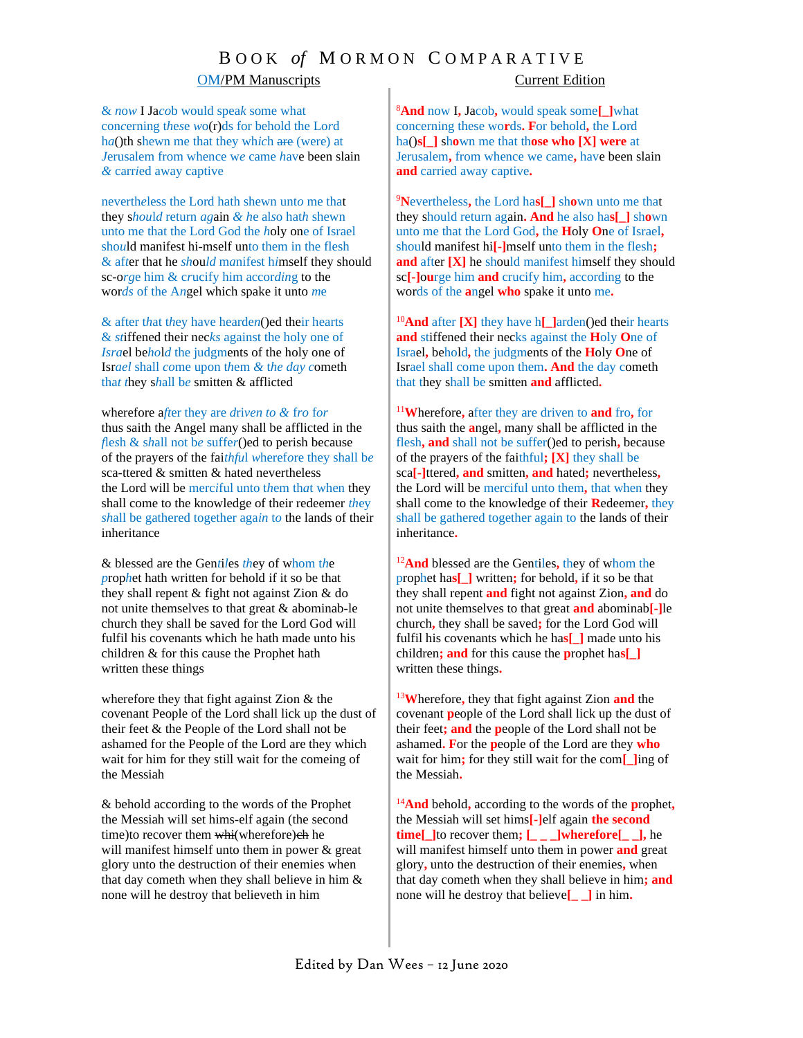# B O O K *of* M O R M O N C O M P A R A T I V E

### OM/PM Manuscripts Current Edition

& *n*o*w* I Ja*co*b would spea*k* some what con*c*erning t*h*e*s*e *w*o(r)ds for behold the Lo*r*d h*a*()th shewn me that they wh*ic*h are (were) at *J*erusalem from whence w*e* came *h*ave been slain *&* carr*i*ed away captive

neverth*e*less the Lord hath shewn unt*o* me that they s*hou*l*d* return *ag*ain *& h*e al*s*o hat*h* shewn unto me that the Lord God the *h*oly one of Israel sho*u*ld manifest hi-mself unto them in the flesh & af*t*er that he *sh*ou*ld* m*a*nifest h*i*mself they should sc-o*rg*e him & c*r*ucify him accor*din*g to the wor*ds* of the A*n*gel which spake it unto *m*e

& after t*h*at t*h*ey have hearde*n*()ed their hearts & *st*iffened their nec*ks* against the holy one of *Isra*el be*ho*l*d* the judgments of the holy one of Isr*ael* shall *co*me upon t*h*em *&* t*he day c*ometh tha*t t*hey s*h*all b*e* smitten & afflicted

wherefore a*ft*er they are *d*ri*ven to &* f*ro* f*or* thus saith the Angel many shall be afflicted in the *f*le*s*h & s*h*all not b*e* suffe*r*()ed to perish because of the prayers of the fai*thfu*l *w*heref*o*re they shall b*e* sca-ttered & smitten & hated nevertheless the Lord will be merc*i*ful unto t*h*em th*a*t when they shall come to the knowledge of their redeemer *th*ey *sh*all be gathered together aga*in* t*o* the lands of their inheritance

& blessed are the Gen*t*i*l*es *th*ey of whom t*h*e *p*rop*h*et hath written for behold if it so be that they shall repent & fight not against Zion & do not unite themselves to that great & abominab-le church they shall be saved for the Lord God will fulfil his covenants which he hath made unto his children & for this cause the Prophet hath written these things

wherefore they that fight against Zion & the covenant People of the Lord shall lick up the dust of their feet & the People of the Lord shall not be ashamed for the People of the Lord are they which wait for him for they still wait for the comeing of the Messiah

& behold according to the words of the Prophet the Messiah will set hims-elf again (the second time)to recover them whi(wherefore)eh he will manifest himself unto them in power & great glory unto the destruction of their enemies when that day cometh when they shall believe in him & none will he destroy that believeth in him

<sup>8</sup>**And** now I**,** Jacob**,** would speak some**[\_]**what concerning these wo**r**ds**. F**or behold**,** the Lord ha()**s[\_]** sh**o**wn me that th**ose who [X] were** at Jerusalem**,** from whence we came**,** have been slain **and** carried away captive**.**

<sup>9</sup>**N**evertheless**,** the Lord ha**s[\_]** sh**o**wn unto me that they should return again**. And** he also ha**s[\_]** sh**o**wn unto me that the Lord God**,** the **H**oly **O**ne of Israel**,**  should manifest hi**[-]**mself unto them in the flesh**; and** after **[X]** he should manifest himself they should sc**[-]**o**u**rge him **and** crucify him**,** according to the words of the **a**ngel **who** spake it unto me**.**

<sup>10</sup>**And** after **[X]** they have h**[\_]**arden()ed their hearts **and** stiffened their necks against the **H**oly **O**ne of Israel**,** behold**,** the judgments of the **H**oly **O**ne of Israel shall come upon them**. And** the day cometh that they shall be smitten **and** afflicted**.**

<sup>11</sup>**W**herefore**,** after they are driven to **and** fro**,** for thus saith the **a**ngel**,** many shall be afflicted in the flesh**, and** shall not be suffer()ed to perish**,** because of the prayers of the faithful**; [X]** they shall be sca**[-]**ttered**, and** smitten**, and** hated**;** nevertheless**,** the Lord will be merciful unto them**,** that when they shall come to the knowledge of their **R**edeemer**,** they shall be gathered together again to the lands of their inheritance**.**

<sup>12</sup>**And** blessed are the Gentiles**,** they of whom the prophet ha**s[\_]** written**;** for behold**,** if it so be that they shall repent **and** fight not against Zion**, and** do not unite themselves to that great **and** abominab**[-]**le church**,** they shall be saved**;** for the Lord God will fulfil his covenants which he ha**s[\_]** made unto his children**; and** for this cause the **p**rophet ha**s[\_]** written these things**.**

<sup>13</sup>**W**herefore**,** they that fight against Zion **and** the covenant **p**eople of the Lord shall lick up the dust of their feet**; and** the **p**eople of the Lord shall not be ashamed**. F**or the **p**eople of the Lord are they **who** wait for him**;** for they still wait for the com**[\_]**ing of the Messiah**.**

<sup>14</sup>**And** behold**,** according to the words of the **p**rophet**,** the Messiah will set hims**[-]**elf again **the second time**[ $\Box$ ]to recover them;  $\Box$  $\Box$ **wherefore**[ $\Box$ ], he will manifest himself unto them in power **and** great glory**,** unto the destruction of their enemies**,** when that day cometh when they shall believe in him**; and**  none will he destroy that believe**[\_ \_]** in him**.**